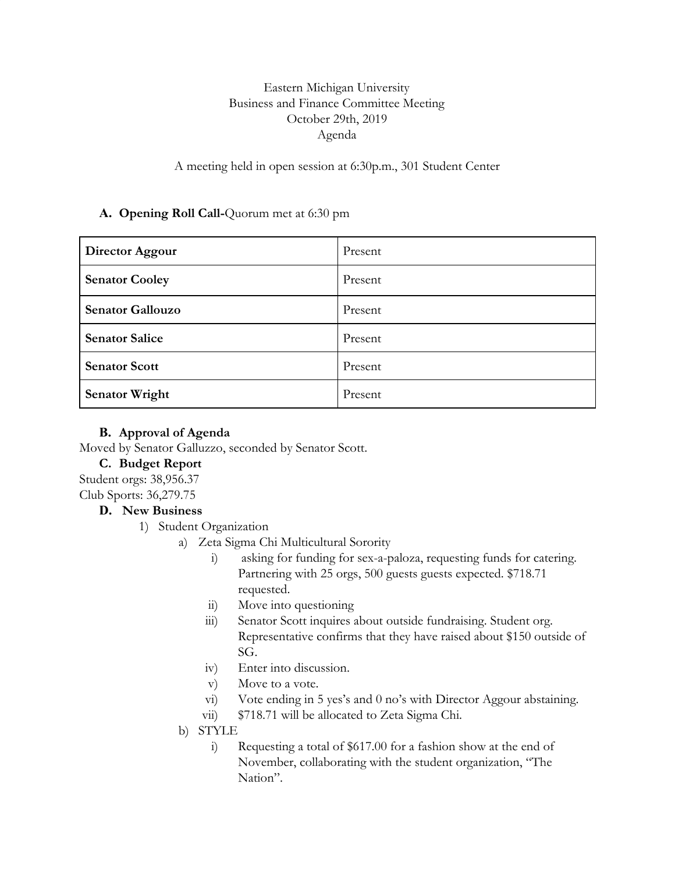# Eastern Michigan University Business and Finance Committee Meeting October 29th, 2019 Agenda

A meeting held in open session at 6:30p.m., 301 Student Center

## **A. Opening Roll Call-**Quorum met at 6:30 pm

| Director Aggour         | Present |
|-------------------------|---------|
| <b>Senator Cooley</b>   | Present |
| <b>Senator Gallouzo</b> | Present |
| <b>Senator Salice</b>   | Present |
| <b>Senator Scott</b>    | Present |
| <b>Senator Wright</b>   | Present |

#### **B. Approval of Agenda**

Moved by Senator Galluzzo, seconded by Senator Scott.

## **C. Budget Report**

Student orgs: 38,956.37 Club Sports: 36,279.75

## **D. New Business**

1) Student Organization

- a) Zeta Sigma Chi Multicultural Sorority
	- i) asking for funding for sex-a-paloza, requesting funds for catering. Partnering with 25 orgs, 500 guests guests expected. \$718.71 requested.
	- ii) Move into questioning
	- iii) Senator Scott inquires about outside fundraising. Student org. Representative confirms that they have raised about \$150 outside of SG.
	- iv) Enter into discussion.
	- v) Move to a vote.
	- vi) Vote ending in 5 yes's and 0 no's with Director Aggour abstaining.
	- vii) \$718.71 will be allocated to Zeta Sigma Chi.

#### b) STYLE

i) Requesting a total of \$617.00 for a fashion show at the end of November, collaborating with the student organization, "The Nation".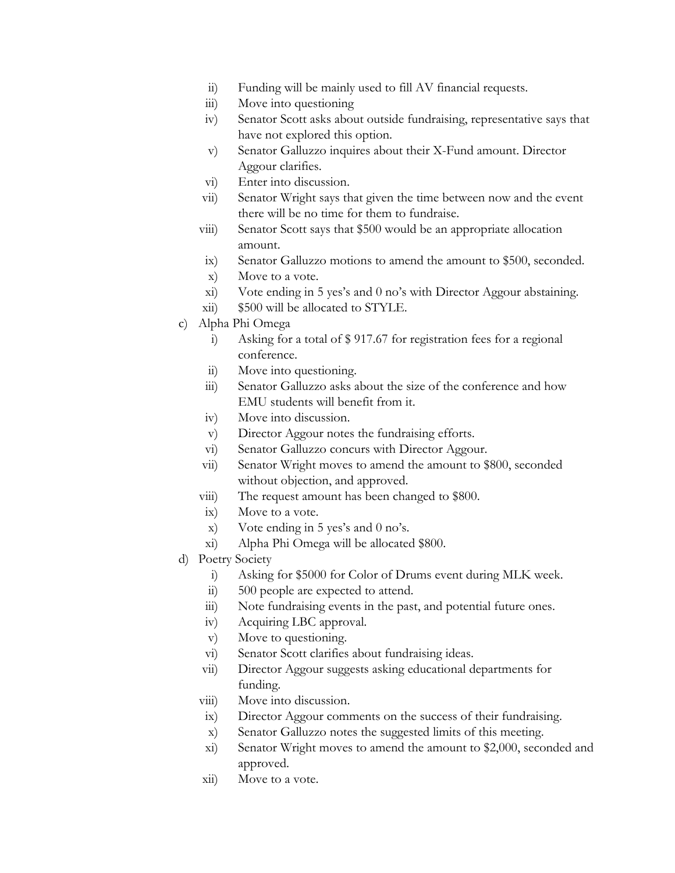- ii) Funding will be mainly used to fill AV financial requests.
- iii) Move into questioning
- iv) Senator Scott asks about outside fundraising, representative says that have not explored this option.
- v) Senator Galluzzo inquires about their X-Fund amount. Director Aggour clarifies.
- vi) Enter into discussion.
- vii) Senator Wright says that given the time between now and the event there will be no time for them to fundraise.
- viii) Senator Scott says that \$500 would be an appropriate allocation amount.
- ix) Senator Galluzzo motions to amend the amount to \$500, seconded.
- x) Move to a vote.
- xi) Vote ending in 5 yes's and 0 no's with Director Aggour abstaining.
- xii) \$500 will be allocated to STYLE.
- c) Alpha Phi Omega
	- i) Asking for a total of \$ 917.67 for registration fees for a regional conference.
	- ii) Move into questioning.
	- iii) Senator Galluzzo asks about the size of the conference and how EMU students will benefit from it.
	- iv) Move into discussion.
	- v) Director Aggour notes the fundraising efforts.
	- vi) Senator Galluzzo concurs with Director Aggour.
	- vii) Senator Wright moves to amend the amount to \$800, seconded without objection, and approved.
	- viii) The request amount has been changed to \$800.
	- ix) Move to a vote.
	- x) Vote ending in 5 yes's and 0 no's.
	- xi) Alpha Phi Omega will be allocated \$800.
- d) Poetry Society
	- i) Asking for \$5000 for Color of Drums event during MLK week.
	- ii) 500 people are expected to attend.
	- iii) Note fundraising events in the past, and potential future ones.
	- iv) Acquiring LBC approval.
	- v) Move to questioning.
	- vi) Senator Scott clarifies about fundraising ideas.
	- vii) Director Aggour suggests asking educational departments for funding.
	- viii) Move into discussion.
	- ix) Director Aggour comments on the success of their fundraising.
	- x) Senator Galluzzo notes the suggested limits of this meeting.
	- xi) Senator Wright moves to amend the amount to \$2,000, seconded and approved.
	- xii) Move to a vote.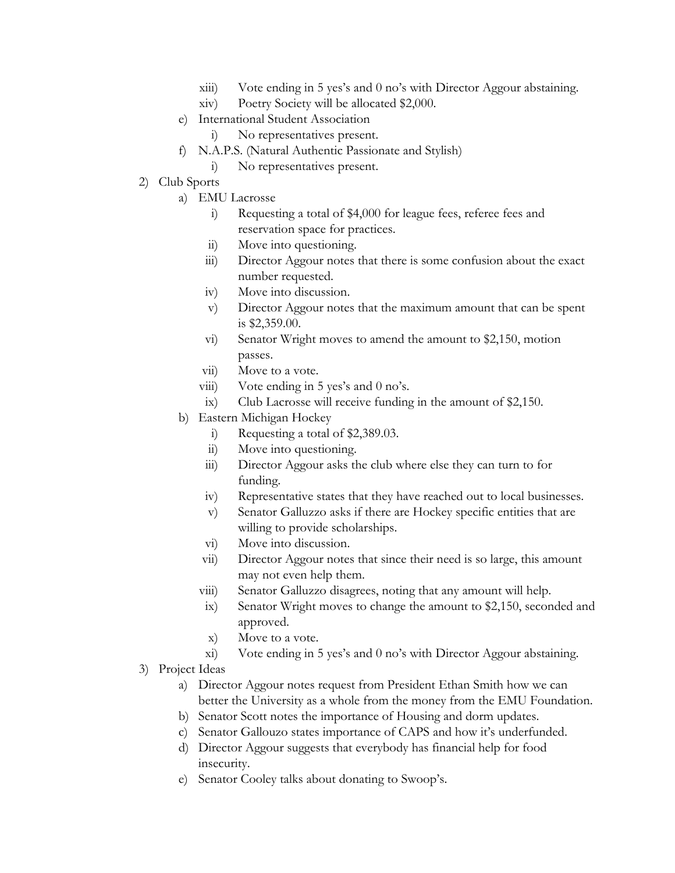- xiii) Vote ending in 5 yes's and 0 no's with Director Aggour abstaining.
- xiv) Poetry Society will be allocated \$2,000.
- e) International Student Association
	- i) No representatives present.
- f) N.A.P.S. (Natural Authentic Passionate and Stylish)
	- i) No representatives present.
- 2) Club Sports
	- a) EMU Lacrosse
		- i) Requesting a total of \$4,000 for league fees, referee fees and reservation space for practices.
		- ii) Move into questioning.
		- iii) Director Aggour notes that there is some confusion about the exact number requested.
		- iv) Move into discussion.
		- v) Director Aggour notes that the maximum amount that can be spent is \$2,359.00.
		- vi) Senator Wright moves to amend the amount to \$2,150, motion passes.
		- vii) Move to a vote.
		- viii) Vote ending in 5 yes's and 0 no's.
		- ix) Club Lacrosse will receive funding in the amount of \$2,150.
	- b) Eastern Michigan Hockey
		- i) Requesting a total of \$2,389.03.
		- ii) Move into questioning.
		- iii) Director Aggour asks the club where else they can turn to for funding.
		- iv) Representative states that they have reached out to local businesses.
		- v) Senator Galluzzo asks if there are Hockey specific entities that are willing to provide scholarships.
		- vi) Move into discussion.
		- vii) Director Aggour notes that since their need is so large, this amount may not even help them.
		- viii) Senator Galluzzo disagrees, noting that any amount will help.
		- ix) Senator Wright moves to change the amount to \$2,150, seconded and approved.
		- x) Move to a vote.
		- xi) Vote ending in 5 yes's and 0 no's with Director Aggour abstaining.
- 3) Project Ideas
	- a) Director Aggour notes request from President Ethan Smith how we can better the University as a whole from the money from the EMU Foundation.
	- b) Senator Scott notes the importance of Housing and dorm updates.
	- c) Senator Gallouzo states importance of CAPS and how it's underfunded.
	- d) Director Aggour suggests that everybody has financial help for food insecurity.
	- e) Senator Cooley talks about donating to Swoop's.